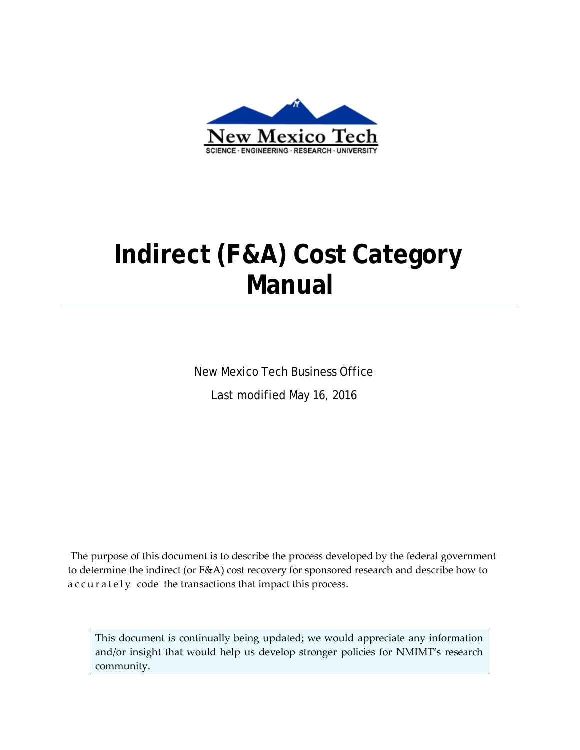

# **Indirect (F&A) Cost Category Manual**

New Mexico Tech Business Office Last modified May 16, 2016

The purpose of this document is to describe the process developed by the federal government to determine the indirect (or F&A) cost recovery for sponsored research and describe how to accurately code the transactions that impact this process.

This document is continually being updated; we would appreciate any information and/or insight that would help us develop stronger policies for NMIMT's research community.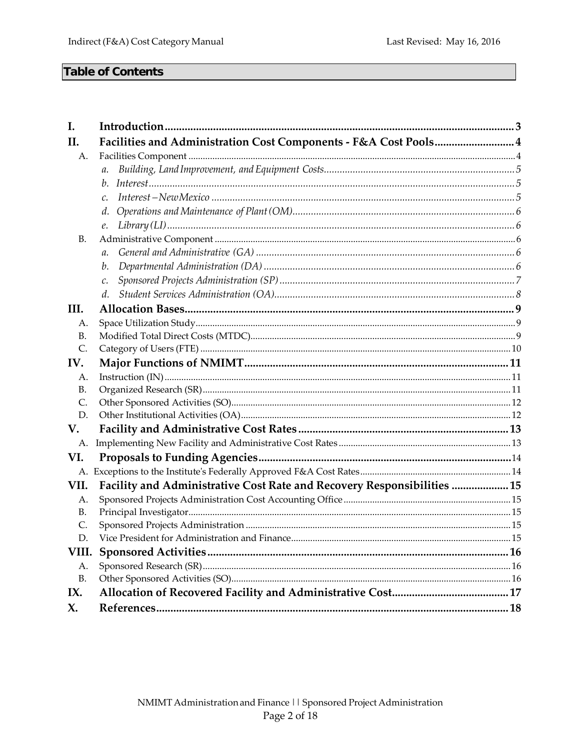# **Table of Contents**

| I.              |                                                                         |  |
|-----------------|-------------------------------------------------------------------------|--|
| II.             | Facilities and Administration Cost Components - F&A Cost Pools 4        |  |
| A.              |                                                                         |  |
|                 | $a$ .                                                                   |  |
|                 | $b_{\cdot}$                                                             |  |
|                 | c.                                                                      |  |
|                 | d.                                                                      |  |
|                 | e.                                                                      |  |
| <b>B.</b>       |                                                                         |  |
|                 | $\mathfrak{a}$ .                                                        |  |
|                 | b.                                                                      |  |
|                 | $\mathcal{C}$ .                                                         |  |
|                 | d.                                                                      |  |
| III.            |                                                                         |  |
| А.              |                                                                         |  |
| B.              |                                                                         |  |
| C.              |                                                                         |  |
| IV.             |                                                                         |  |
| А.              |                                                                         |  |
| <b>B.</b>       |                                                                         |  |
| $\mathsf{C}$ .  |                                                                         |  |
| D.              |                                                                         |  |
| V.              |                                                                         |  |
| A.              |                                                                         |  |
| VI.             |                                                                         |  |
|                 |                                                                         |  |
| VII.            | Facility and Administrative Cost Rate and Recovery Responsibilities  15 |  |
| А.              |                                                                         |  |
| <b>B.</b><br>Ċ. |                                                                         |  |
| D.              |                                                                         |  |
|                 |                                                                         |  |
| А.              |                                                                         |  |
| <b>B.</b>       |                                                                         |  |
| IX.             |                                                                         |  |
| X.              |                                                                         |  |
|                 |                                                                         |  |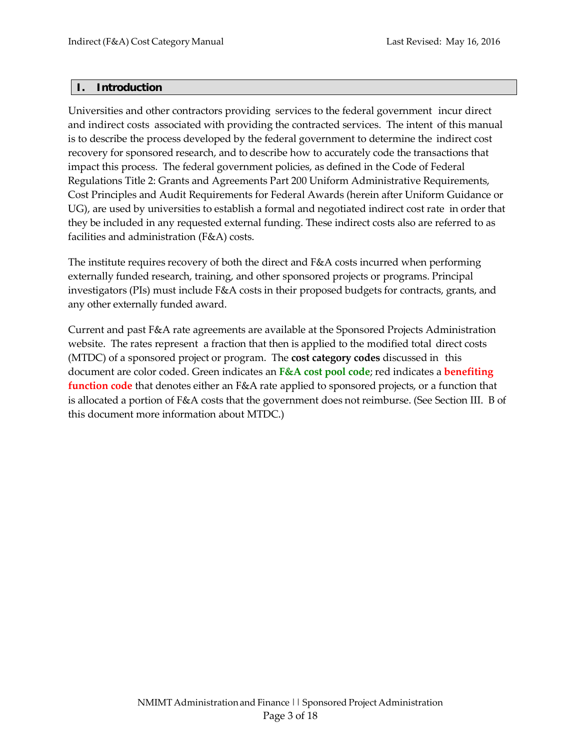#### <span id="page-2-0"></span>**I. Introduction**

Universities and other contractors providing services to the federal government incur direct and indirect costs associated with providing the contracted services. The intent of this manual is to describe the process developed by the federal government to determine the indirect cost recovery for sponsored research, and to describe how to accurately code the transactions that impact this process. The federal government policies, as defined in the Code of Federal Regulations Title 2: Grants and Agreements Part 200 Uniform Administrative Requirements, Cost Principles and Audit Requirements for Federal Awards (herein after Uniform Guidance or UG), are used by universities to establish a formal and negotiated indirect cost rate in order that they be included in any requested external funding. These indirect costs also are referred to as facilities and administration (F&A) costs.

The institute requires recovery of both the direct and F&A costs incurred when performing externally funded research, training, and other sponsored projects or programs. Principal investigators (PIs) must include F&A costs in their proposed budgets for contracts, grants, and any other externally funded award.

Current and past F&A rate agreements are available at the Sponsored Projects Administration website. The rates represent a fraction that then is applied to the modified total direct costs (MTDC) of a sponsored project or program. The **cost category codes** discussed in this document are color coded. Green indicates an **F&A cost pool code**; red indicates a **benefiting function code** that denotes either an F&A rate applied to sponsored projects, or a function that is allocated a portion of F&A costs that the government does not reimburse. (See Section III. B of this document more information about MTDC.)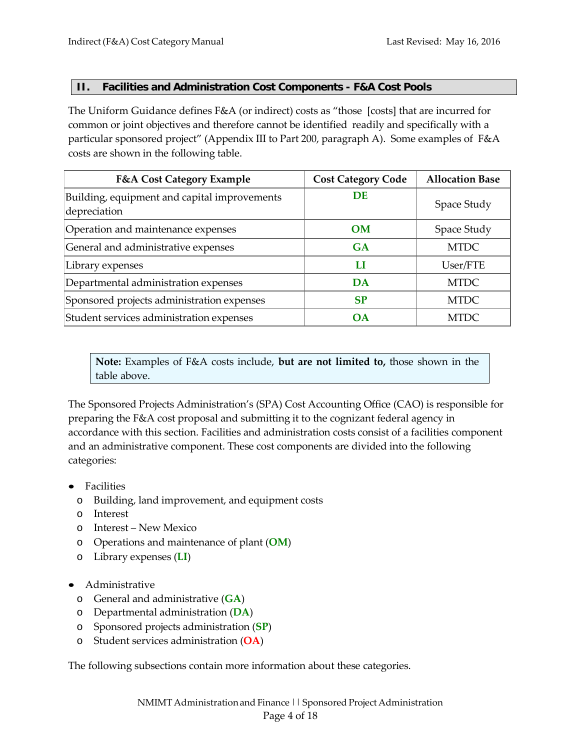#### <span id="page-3-0"></span>**II. Facilities and Administration Cost Components - F&A Cost Pools**

The Uniform Guidance defines F&A (or indirect) costs as "those [costs] that are incurred for common or joint objectives and therefore cannot be identified readily and specifically with a particular sponsored project" (Appendix III to Part 200, paragraph A). Some examples of F&A costs are shown in the following table.

| <b>F&amp;A Cost Category Example</b>                         | <b>Cost Category Code</b> | <b>Allocation Base</b> |
|--------------------------------------------------------------|---------------------------|------------------------|
| Building, equipment and capital improvements<br>depreciation | <b>DE</b>                 | Space Study            |
| Operation and maintenance expenses                           | <b>OM</b>                 | Space Study            |
| General and administrative expenses                          | <b>GA</b>                 | <b>MTDC</b>            |
| Library expenses                                             | LI                        | User/FTE               |
| Departmental administration expenses                         | DA                        | <b>MTDC</b>            |
| Sponsored projects administration expenses                   | <b>SP</b>                 | <b>MTDC</b>            |
| Student services administration expenses                     | <b>OA</b>                 | <b>MTDC</b>            |

**Note:** Examples of F&A costs include, **but are not limited to,** those shown in the table above.

The Sponsored Projects Administration's (SPA) Cost Accounting Office (CAO) is responsible for preparing the F&A cost proposal and submitting it to the cognizant federal agency in accordance with this section. Facilities and administration costs consist of a facilities component and an administrative component. These cost components are divided into the following categories:

- Facilities
	- o Building, land improvement, and equipment costs
	- o Interest
	- o Interest New Mexico
	- o Operations and maintenance of plant (**OM**)
	- o Library expenses (**LI**)
- Administrative
	- o General and administrative (**GA**)
	- o Departmental administration (**DA**)
	- o Sponsored projects administration (**SP**)
	- o Student services administration (**OA**)

The following subsections contain more information about these categories.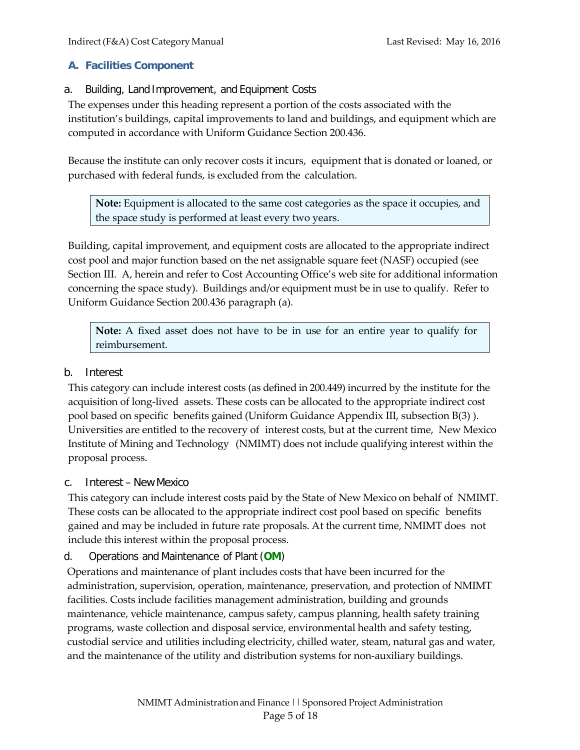# <span id="page-4-0"></span>**A. Facilities Component**

<span id="page-4-1"></span>a. Building, Land Improvement, and Equipment Costs

The expenses under this heading represent a portion of the costs associated with the institution's buildings, capital improvements to land and buildings, and equipment which are computed in accordance with Uniform Guidance Section 200.436.

Because the institute can only recover costs it incurs, equipment that is donated or loaned, or purchased with federal funds, is excluded from the calculation.

**Note:** Equipment is allocated to the same cost categories as the space it occupies, and the space study is performed at least every two years.

Building, capital improvement, and equipment costs are allocated to the appropriate indirect cost pool and major function based on the net assignable square feet (NASF) occupied (see Section III. A, herein and refer to Cost Accounting Office's web site for additional information concerning the space study). Buildings and/or equipment must be in use to qualify. Refer to Uniform Guidance Section 200.436 paragraph (a).

**Note:** A fixed asset does not have to be in use for an entire year to qualify for reimbursement.

# <span id="page-4-2"></span>b. Interest

This category can include interest costs (as defined in 200.449) incurred by the institute for the acquisition of long-lived assets. These costs can be allocated to the appropriate indirect cost pool based on specific benefits gained (Uniform Guidance Appendix III, subsection B(3) ). Universities are entitled to the recovery of interest costs, but at the current time, New Mexico Institute of Mining and Technology (NMIMT) does not include qualifying interest within the proposal process.

## <span id="page-4-3"></span>c. Interest – NewMexico

This category can include interest costs paid by the State of New Mexico on behalf of NMIMT. These costs can be allocated to the appropriate indirect cost pool based on specific benefits gained and may be included in future rate proposals. At the current time, NMIMT does not include this interest within the proposal process.

# <span id="page-4-4"></span>d. Operations and Maintenance of Plant (**OM**)

Operations and maintenance of plant includes costs that have been incurred for the administration, supervision, operation, maintenance, preservation, and protection of NMIMT facilities. Costs include facilities management administration, building and grounds maintenance, vehicle maintenance, campus safety, campus planning, health safety training programs, waste collection and disposal service, environmental health and safety testing, custodial service and utilities including electricity, chilled water, steam, natural gas and water, and the maintenance of the utility and distribution systems for non-auxiliary buildings.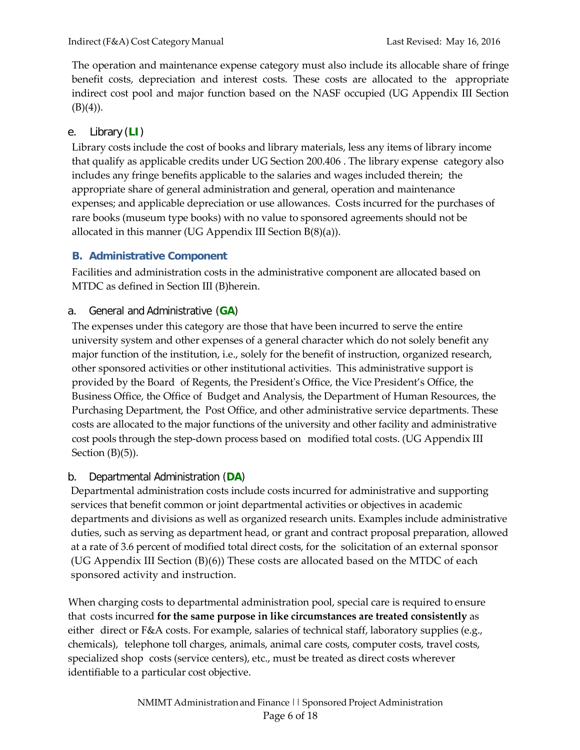The operation and maintenance expense category must also include its allocable share of fringe benefit costs, depreciation and interest costs. These costs are allocated to the appropriate indirect cost pool and major function based on the NASF occupied (UG Appendix III Section  $(B)(4)$ ).

# <span id="page-5-0"></span>e. Library (**LI**)

Library costs include the cost of books and library materials, less any items of library income that qualify as applicable credits under UG Section 200.406 . The library expense category also includes any fringe benefits applicable to the salaries and wages included therein; the appropriate share of general administration and general, operation and maintenance expenses; and applicable depreciation or use allowances. Costs incurred for the purchases of rare books (museum type books) with no value to sponsored agreements should not be allocated in this manner (UG Appendix III Section  $B(8)(a)$ ).

# <span id="page-5-1"></span>**B. Administrative Component**

Facilities and administration costs in the administrative component are allocated based on MTDC as defined in Section III (B)herein.

# <span id="page-5-2"></span>a. General and Administrative (**GA**)

The expenses under this category are those that have been incurred to serve the entire university system and other expenses of a general character which do not solely benefit any major function of the institution, i.e., solely for the benefit of instruction, organized research, other sponsored activities or other institutional activities. This administrative support is provided by the Board of Regents, the President's Office, the Vice President's Office, the Business Office, the Office of Budget and Analysis, the Department of Human Resources, the Purchasing Department, the Post Office, and other administrative service departments. These costs are allocated to the major functions of the university and other facility and administrative cost pools through the step-down process based on modified total costs. (UG Appendix III Section (B)(5)).

# <span id="page-5-3"></span>b. Departmental Administration (**DA**)

Departmental administration costs include costs incurred for administrative and supporting services that benefit common or joint departmental activities or objectives in academic departments and divisions as well as organized research units. Examples include administrative duties, such as serving as department head, or grant and contract proposal preparation, allowed at a rate of 3.6 percent of modified total direct costs, for the solicitation of an external sponsor (UG Appendix III Section (B)(6)) These costs are allocated based on the MTDC of each sponsored activity and instruction.

When charging costs to departmental administration pool, special care is required to ensure that costs incurred **for the same purpose in like circumstances are treated consistently** as either direct or F&A costs. For example, salaries of technical staff, laboratory supplies (e.g., chemicals), telephone toll charges, animals, animal care costs, computer costs, travel costs, specialized shop costs (service centers), etc., must be treated as direct costs wherever identifiable to a particular cost objective.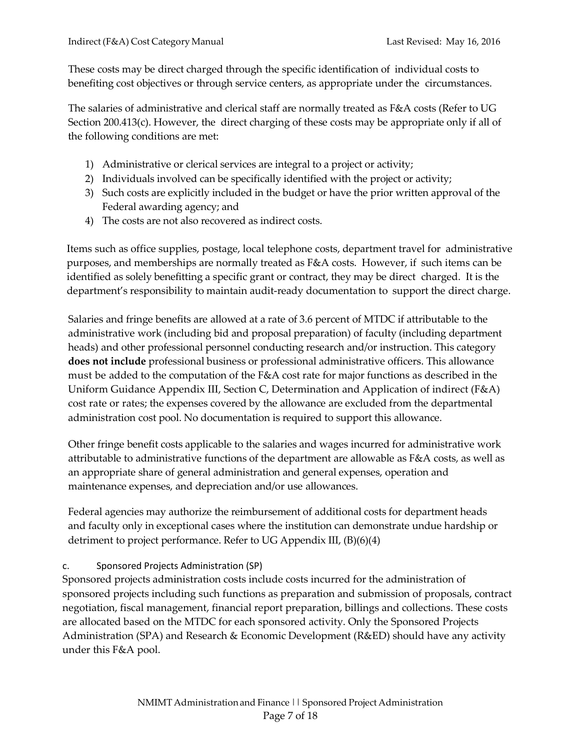These costs may be direct charged through the specific identification of individual costs to benefiting cost objectives or through service centers, as appropriate under the circumstances.

The salaries of administrative and clerical staff are normally treated as F&A costs (Refer to UG Section 200.413(c). However, the direct charging of these costs may be appropriate only if all of the following conditions are met:

- 1) Administrative or clerical services are integral to a project or activity;
- 2) Individuals involved can be specifically identified with the project or activity;
- 3) Such costs are explicitly included in the budget or have the prior written approval of the Federal awarding agency; and
- 4) The costs are not also recovered as indirect costs.

Items such as office supplies, postage, local telephone costs, department travel for administrative purposes, and memberships are normally treated as F&A costs. However, if such items can be identified as solely benefitting a specific grant or contract, they may be direct charged. It is the department's responsibility to maintain audit-ready documentation to support the direct charge.

Salaries and fringe benefits are allowed at a rate of 3.6 percent of MTDC if attributable to the administrative work (including bid and proposal preparation) of faculty (including department heads) and other professional personnel conducting research and/or instruction. This category **does not include** professional business or professional administrative officers. This allowance must be added to the computation of the F&A cost rate for major functions as described in the Uniform Guidance Appendix III, Section C, Determination and Application of indirect (F&A) cost rate or rates; the expenses covered by the allowance are excluded from the departmental administration cost pool. No documentation is required to support this allowance.

Other fringe benefit costs applicable to the salaries and wages incurred for administrative work attributable to administrative functions of the department are allowable as F&A costs, as well as an appropriate share of general administration and general expenses, operation and maintenance expenses, and depreciation and/or use allowances.

Federal agencies may authorize the reimbursement of additional costs for department heads and faculty only in exceptional cases where the institution can demonstrate undue hardship or detriment to project performance. Refer to UG Appendix III, (B)(6)(4)

# c. Sponsored Projects Administration (SP)

Sponsored projects administration costs include costs incurred for the administration of sponsored projects including such functions as preparation and submission of proposals, contract negotiation, fiscal management, financial report preparation, billings and collections. These costs are allocated based on the MTDC for each sponsored activity. Only the Sponsored Projects Administration (SPA) and Research & Economic Development (R&ED) should have any activity under this F&A pool.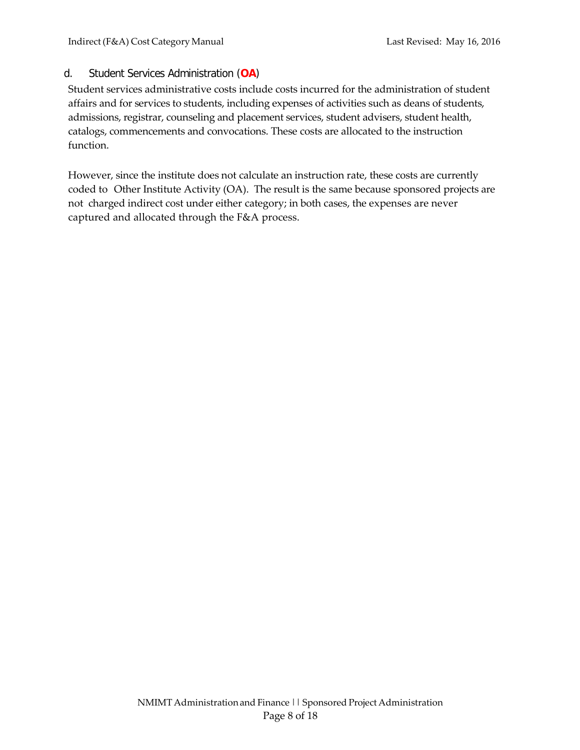# <span id="page-7-0"></span>d. Student Services Administration (**OA**)

Student services administrative costs include costs incurred for the administration of student affairs and for services to students, including expenses of activities such as deans of students, admissions, registrar, counseling and placement services, student advisers, student health, catalogs, commencements and convocations. These costs are allocated to the instruction function.

However, since the institute does not calculate an instruction rate, these costs are currently coded to Other Institute Activity (OA). The result is the same because sponsored projects are not charged indirect cost under either category; in both cases, the expenses are never captured and allocated through the F&A process.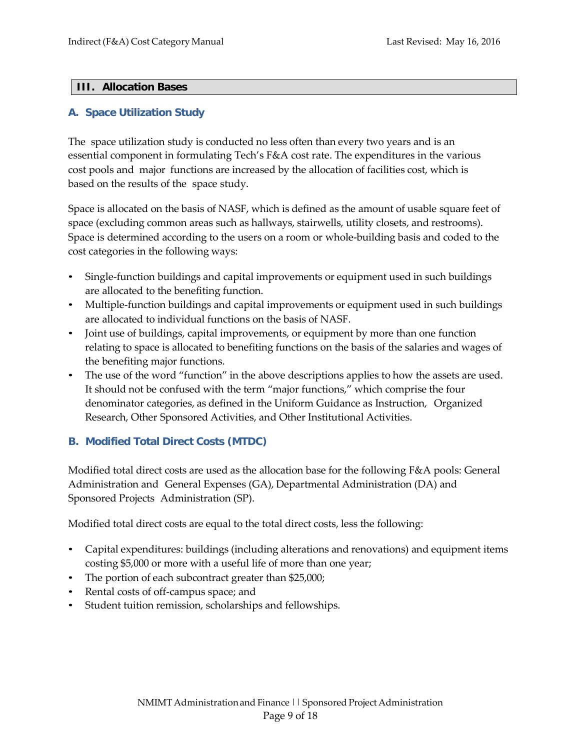#### <span id="page-8-0"></span>**III. Allocation Bases**

#### <span id="page-8-1"></span>**A. Space Utilization Study**

The space utilization study is conducted no less often than every two years and is an essential component in formulating Tech's F&A cost rate. The expenditures in the various cost pools and major functions are increased by the allocation of facilities cost, which is based on the results of the space study.

Space is allocated on the basis of NASF, which is defined as the amount of usable square feet of space (excluding common areas such as hallways, stairwells, utility closets, and restrooms). Space is determined according to the users on a room or whole-building basis and coded to the cost categories in the following ways:

- Single-function buildings and capital improvements or equipment used in such buildings are allocated to the benefiting function.
- Multiple-function buildings and capital improvements or equipment used in such buildings are allocated to individual functions on the basis of NASF.
- Joint use of buildings, capital improvements, or equipment by more than one function relating to space is allocated to benefiting functions on the basis of the salaries and wages of the benefiting major functions.
- The use of the word "function" in the above descriptions applies to how the assets are used. It should not be confused with the term "major functions," which comprise the four denominator categories, as defined in the Uniform Guidance as Instruction, Organized Research, Other Sponsored Activities, and Other Institutional Activities.

## <span id="page-8-2"></span>**B. Modified Total Direct Costs (MTDC)**

Modified total direct costs are used as the allocation base for the following F&A pools: General Administration and General Expenses (GA), Departmental Administration (DA) and Sponsored Projects Administration (SP).

Modified total direct costs are equal to the total direct costs, less the following:

- Capital expenditures: buildings (including alterations and renovations) and equipment items costing \$5,000 or more with a useful life of more than one year;
- The portion of each subcontract greater than \$25,000;
- Rental costs of off-campus space; and
- Student tuition remission, scholarships and fellowships.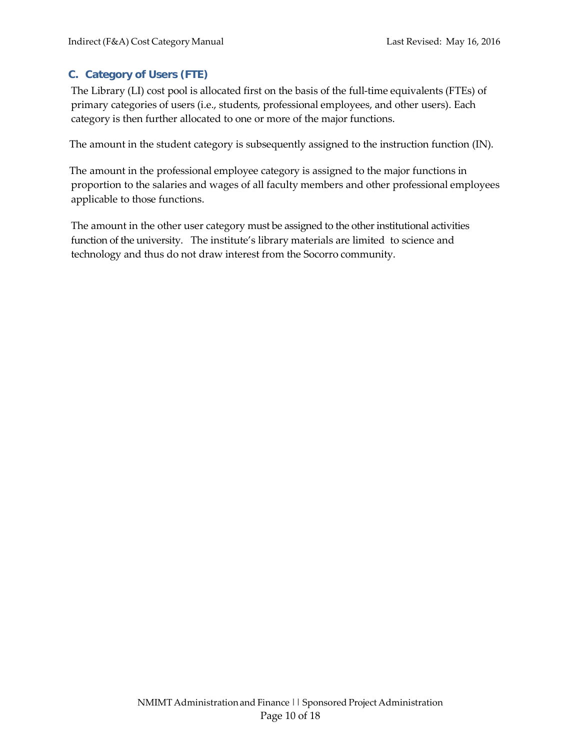# <span id="page-9-0"></span>**C. Category of Users (FTE)**

The Library (LI) cost pool is allocated first on the basis of the full-time equivalents (FTEs) of primary categories of users (i.e., students, professional employees, and other users). Each category is then further allocated to one or more of the major functions.

The amount in the student category is subsequently assigned to the instruction function (IN).

The amount in the professional employee category is assigned to the major functions in proportion to the salaries and wages of all faculty members and other professional employees applicable to those functions.

The amount in the other user category must be assigned to the other institutional activities function of the university. The institute's library materials are limited to science and technology and thus do not draw interest from the Socorro community.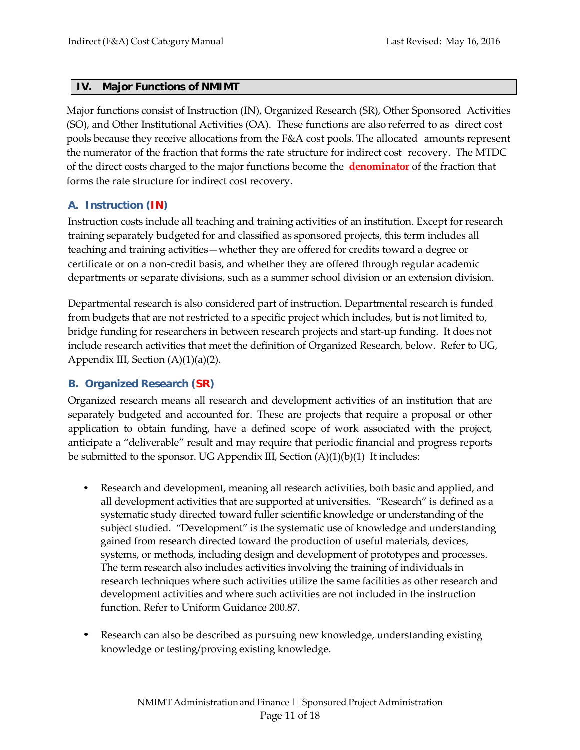#### <span id="page-10-0"></span>**IV. Major Functions of NMIMT**

Major functions consist of Instruction (IN), Organized Research (SR), Other Sponsored Activities (SO), and Other Institutional Activities (OA). These functions are also referred to as direct cost pools because they receive allocations from the F&A cost pools. The allocated amounts represent the numerator of the fraction that forms the rate structure for indirect cost recovery. The MTDC of the direct costs charged to the major functions become the **denominator** of the fraction that forms the rate structure for indirect cost recovery.

## <span id="page-10-1"></span>**A. Instruction (IN)**

Instruction costs include all teaching and training activities of an institution. Except for research training separately budgeted for and classified as sponsored projects, this term includes all teaching and training activities—whether they are offered for credits toward a degree or certificate or on a non-credit basis, and whether they are offered through regular academic departments or separate divisions, such as a summer school division or an extension division.

Departmental research is also considered part of instruction. Departmental research is funded from budgets that are not restricted to a specific project which includes, but is not limited to, bridge funding for researchers in between research projects and start-up funding. It does not include research activities that meet the definition of Organized Research, below. Refer to UG, Appendix III, Section  $(A)(1)(a)(2)$ .

#### <span id="page-10-2"></span>**B. Organized Research (SR)**

Organized research means all research and development activities of an institution that are separately budgeted and accounted for. These are projects that require a proposal or other application to obtain funding, have a defined scope of work associated with the project, anticipate a "deliverable" result and may require that periodic financial and progress reports be submitted to the sponsor. UG Appendix III, Section (A)(1)(b)(1) It includes:

- Research and development, meaning all research activities, both basic and applied, and all development activities that are supported at universities. "Research" is defined as a systematic study directed toward fuller scientific knowledge or understanding of the subject studied. "Development" is the systematic use of knowledge and understanding gained from research directed toward the production of useful materials, devices, systems, or methods, including design and development of prototypes and processes. The term research also includes activities involving the training of individuals in research techniques where such activities utilize the same facilities as other research and development activities and where such activities are not included in the instruction function. Refer to Uniform Guidance 200.87.
- Research can also be described as pursuing new knowledge, understanding existing knowledge or testing/proving existing knowledge.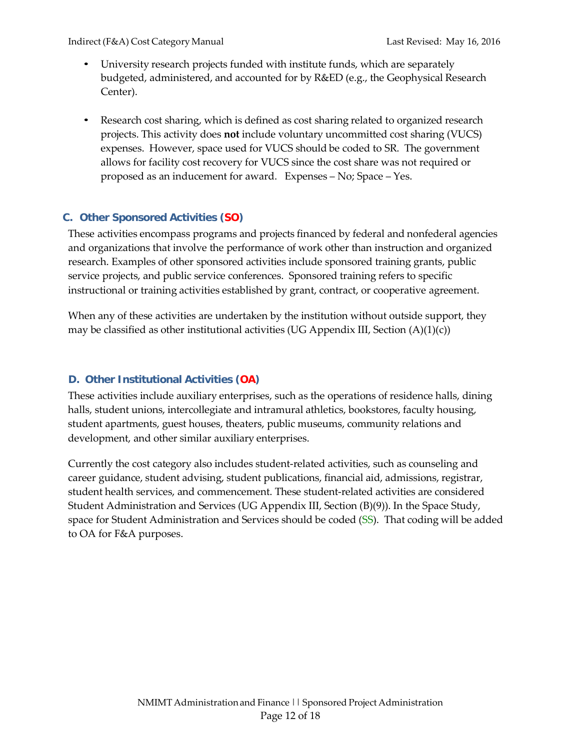- University research projects funded with institute funds, which are separately budgeted, administered, and accounted for by R&ED (e.g., the Geophysical Research Center).
- Research cost sharing, which is defined as cost sharing related to organized research projects. This activity does **not** include voluntary uncommitted cost sharing (VUCS) expenses. However, space used for VUCS should be coded to SR. The government allows for facility cost recovery for VUCS since the cost share was not required or proposed as an inducement for award. Expenses – No; Space – Yes.

# <span id="page-11-0"></span>**C. Other Sponsored Activities (SO)**

These activities encompass programs and projects financed by federal and nonfederal agencies and organizations that involve the performance of work other than instruction and organized research. Examples of other sponsored activities include sponsored training grants, public service projects, and public service conferences. Sponsored training refers to specific instructional or training activities established by grant, contract, or cooperative agreement.

When any of these activities are undertaken by the institution without outside support, they may be classified as other institutional activities (UG Appendix III, Section  $(A)(1)(c)$ )

# <span id="page-11-1"></span>**D. Other Institutional Activities (OA)**

These activities include auxiliary enterprises, such as the operations of residence halls, dining halls, student unions, intercollegiate and intramural athletics, bookstores, faculty housing, student apartments, guest houses, theaters, public museums, community relations and development, and other similar auxiliary enterprises.

Currently the cost category also includes student-related activities, such as counseling and career guidance, student advising, student publications, financial aid, admissions, registrar, student health services, and commencement. These student-related activities are considered Student Administration and Services (UG Appendix III, Section (B)(9)). In the Space Study, space for Student Administration and Services should be coded (SS). That coding will be added to OA for F&A purposes.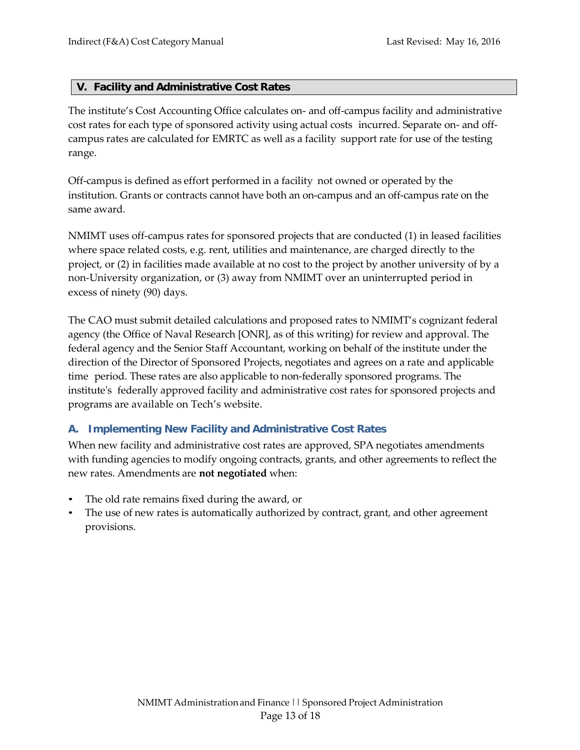#### <span id="page-12-0"></span>**V. Facility and Administrative Cost Rates**

The institute's Cost Accounting Office calculates on- and off-campus facility and administrative cost rates for each type of sponsored activity using actual costs incurred. Separate on- and offcampus rates are calculated for EMRTC as well as a facility support rate for use of the testing range.

Off-campus is defined as effort performed in a facility not owned or operated by the institution. Grants or contracts cannot have both an on-campus and an off-campus rate on the same award.

NMIMT uses off-campus rates for sponsored projects that are conducted (1) in leased facilities where space related costs, e.g. rent, utilities and maintenance, are charged directly to the project, or (2) in facilities made available at no cost to the project by another university of by a non-University organization, or (3) away from NMIMT over an uninterrupted period in excess of ninety (90) days.

The CAO must submit detailed calculations and proposed rates to NMIMT's cognizant federal agency (the Office of Naval Research [ONR], as of this writing) for review and approval. The federal agency and the Senior Staff Accountant, working on behalf of the institute under the direction of the Director of Sponsored Projects, negotiates and agrees on a rate and applicable time period. These rates are also applicable to non-federally sponsored programs. The institute's federally approved facility and administrative cost rates for sponsored projects and programs are available on Tech's website.

## <span id="page-12-1"></span>**A. Implementing New Facility and Administrative Cost Rates**

When new facility and administrative cost rates are approved, SPA negotiates amendments with funding agencies to modify ongoing contracts, grants, and other agreements to reflect the new rates. Amendments are **not negotiated** when:

- The old rate remains fixed during the award, or
- The use of new rates is automatically authorized by contract, grant, and other agreement provisions.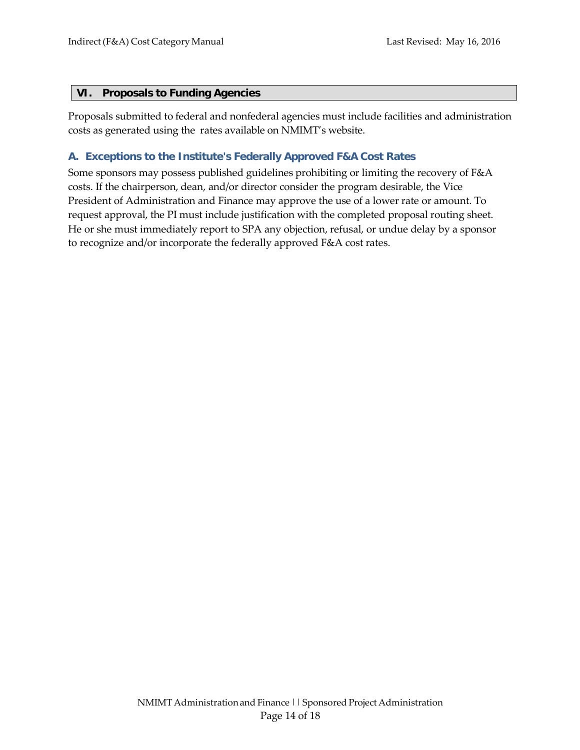#### <span id="page-13-0"></span>**VI. Proposals to Funding Agencies**

Proposals submitted to federal and nonfederal agencies must include facilities and administration costs as generated using the rates available on NMIMT's website.

### <span id="page-13-1"></span>**A. Exceptions to the Institute's Federally Approved F&A Cost Rates**

Some sponsors may possess published guidelines prohibiting or limiting the recovery of F&A costs. If the chairperson, dean, and/or director consider the program desirable, the Vice President of Administration and Finance may approve the use of a lower rate or amount. To request approval, the PI must include justification with the completed proposal routing sheet. He or she must immediately report to SPA any objection, refusal, or undue delay by a sponsor to recognize and/or incorporate the federally approved F&A cost rates.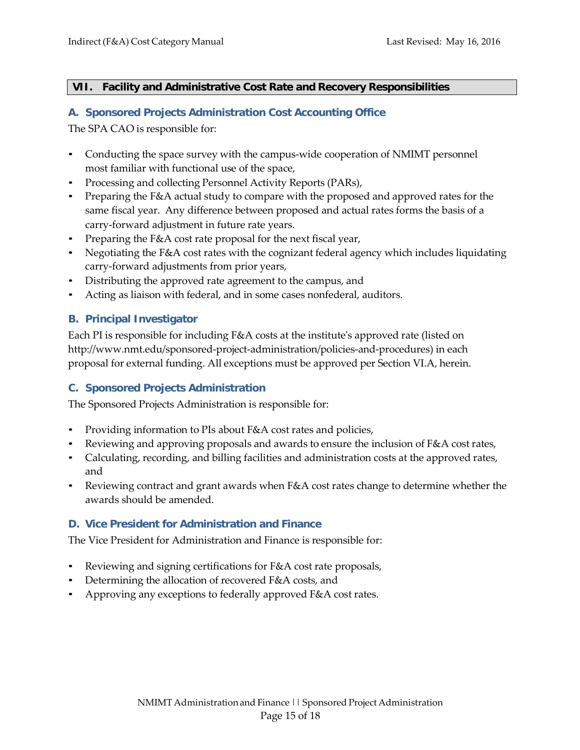#### <span id="page-14-0"></span>**VII. Facility and Administrative Cost Rate and Recovery Responsibilities**

#### <span id="page-14-1"></span>**A. Sponsored Projects Administration Cost Accounting Office**

The SPA CAO is responsible for:

- Conducting the space survey with the campus-wide cooperation of NMIMT personnel most familiar with functional use of the space,
- Processing and collecting Personnel Activity Reports (PARs),
- Preparing the F&A actual study to compare with the proposed and approved rates for the same fiscal year. Any difference between proposed and actual rates forms the basis of a carry-forward adjustment in future rate years.
- Preparing the F&A cost rate proposal for the next fiscal year,
- Negotiating the F&A cost rates with the cognizant federal agency which includes liquidating carry-forward adjustments from prior years,
- Distributing the approved rate agreement to the campus, and
- Acting as liaison with federal, and in some cases nonfederal, auditors.

## <span id="page-14-2"></span>**B. Principal Investigator**

Each PI is responsible for including F&A costs at the institute's approved rate (listed o[n](http://www.nmt.edu/sponsored-project-administration/policies-and-procedures)) [http://www.nmt.edu/sponsored-project-administration/policies-and-procedures\)](http://www.nmt.edu/sponsored-project-administration/policies-and-procedures)) in each proposal for external funding. All exceptions must be approved per Section VI.A, herein.

## <span id="page-14-3"></span>**C. Sponsored Projects Administration**

The Sponsored Projects Administration is responsible for:

- Providing information to PIs about F&A cost rates and policies,
- Reviewing and approving proposals and awards to ensure the inclusion of  $F&A$  cost rates,
- Calculating, recording, and billing facilities and administration costs at the approved rates, and
- Reviewing contract and grant awards when F&A cost rates change to determine whether the awards should be amended.

## <span id="page-14-4"></span>**D. Vice President for Administration and Finance**

The Vice President for Administration and Finance is responsible for:

- Reviewing and signing certifications for F&A cost rate proposals,
- Determining the allocation of recovered F&A costs, and
- Approving any exceptions to federally approved F&A cost rates.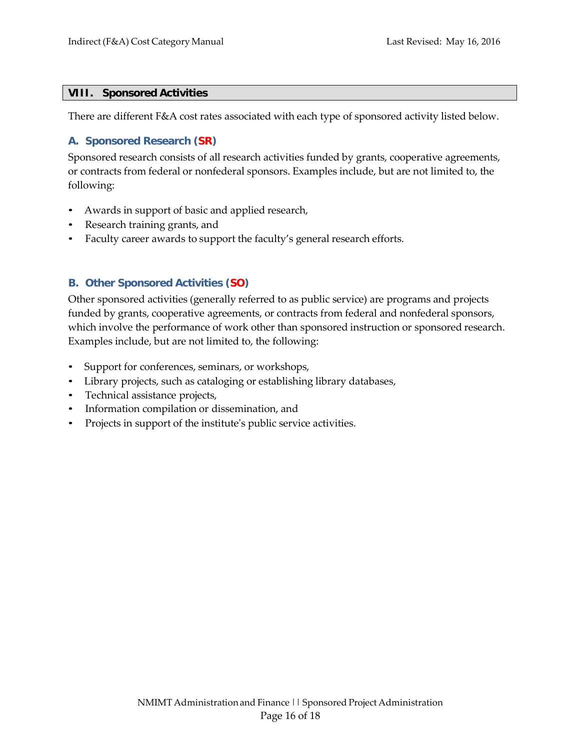#### <span id="page-15-0"></span>**VIII. Sponsored Activities**

There are different F&A cost rates associated with each type of sponsored activity listed below.

#### <span id="page-15-1"></span>**A. Sponsored Research (SR)**

Sponsored research consists of all research activities funded by grants, cooperative agreements, or contracts from federal or nonfederal sponsors. Examples include, but are not limited to, the following:

- Awards in support of basic and applied research,
- Research training grants, and
- Faculty career awards to support the faculty's general research efforts.

## <span id="page-15-2"></span>**B. Other Sponsored Activities (SO)**

Other sponsored activities (generally referred to as public service) are programs and projects funded by grants, cooperative agreements, or contracts from federal and nonfederal sponsors, which involve the performance of work other than sponsored instruction or sponsored research. Examples include, but are not limited to, the following:

- Support for conferences, seminars, or workshops,
- Library projects, such as cataloging or establishing library databases,
- Technical assistance projects,
- Information compilation or dissemination, and
- Projects in support of the institute's public service activities.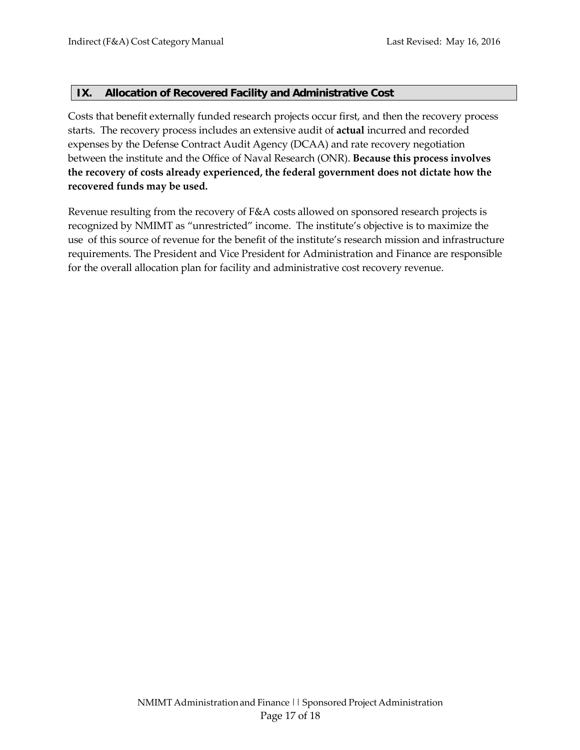#### <span id="page-16-0"></span>**IX. Allocation of Recovered Facility and Administrative Cost**

Costs that benefit externally funded research projects occur first, and then the recovery process starts. The recovery process includes an extensive audit of **actual** incurred and recorded expenses by the Defense Contract Audit Agency (DCAA) and rate recovery negotiation between the institute and the Office of Naval Research (ONR). **Because this process involves the recovery of costs already experienced, the federal government does not dictate how the recovered funds may be used.**

Revenue resulting from the recovery of F&A costs allowed on sponsored research projects is recognized by NMIMT as "unrestricted" income. The institute's objective is to maximize the use of this source of revenue for the benefit of the institute's research mission and infrastructure requirements. The President and Vice President for Administration and Finance are responsible for the overall allocation plan for facility and administrative cost recovery revenue.